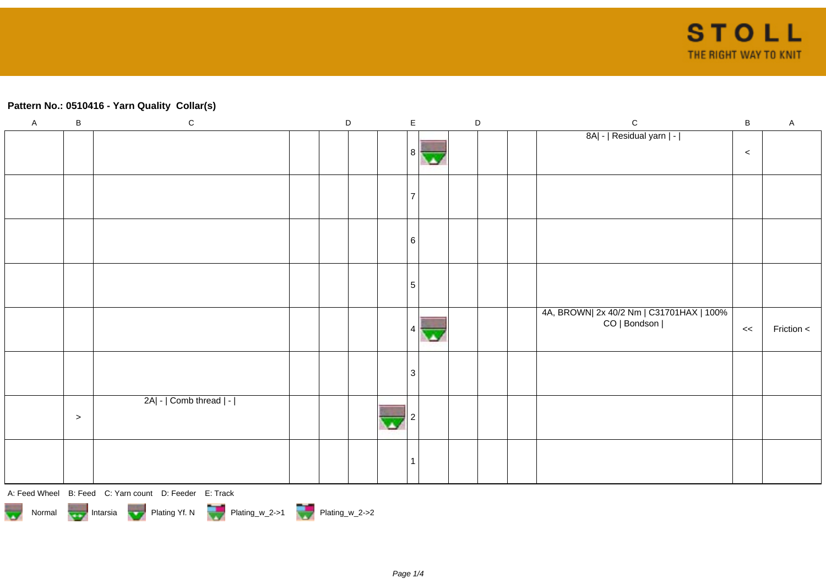## **Pattern No.: 0510416 - Yarn Quality Collar(s)**

| $\mathsf A$ | $\, {\bf B}$ | ${\bf C}$                                              | $\mathsf D$ |  | $\mathsf{E}$   |  | $\mathsf D$ | ${\bf C}$                                | $\, {\bf B}$ | $\mathsf A$ |
|-------------|--------------|--------------------------------------------------------|-------------|--|----------------|--|-------------|------------------------------------------|--------------|-------------|
|             |              |                                                        |             |  |                |  |             | 8A  -   Residual yarn   -                |              |             |
|             |              |                                                        |             |  | 8 <sup>1</sup> |  |             |                                          | $\,<$        |             |
|             |              |                                                        |             |  |                |  |             |                                          |              |             |
|             |              |                                                        |             |  |                |  |             |                                          |              |             |
|             |              |                                                        |             |  |                |  |             |                                          |              |             |
|             |              |                                                        |             |  |                |  |             |                                          |              |             |
|             |              |                                                        |             |  | 6              |  |             |                                          |              |             |
|             |              |                                                        |             |  |                |  |             |                                          |              |             |
|             |              |                                                        |             |  |                |  |             |                                          |              |             |
|             |              |                                                        |             |  | $\sqrt{5}$     |  |             |                                          |              |             |
|             |              |                                                        |             |  |                |  |             | 4A, BROWN  2x 40/2 Nm   C31701HAX   100% |              |             |
|             |              |                                                        |             |  |                |  |             | CO   Bondson                             | <<           | Friction <  |
|             |              |                                                        |             |  |                |  |             |                                          |              |             |
|             |              |                                                        |             |  |                |  |             |                                          |              |             |
|             |              |                                                        |             |  | 3              |  |             |                                          |              |             |
|             |              |                                                        |             |  |                |  |             |                                          |              |             |
|             |              | 2A  -   Comb thread   -                                |             |  |                |  |             |                                          |              |             |
|             | $\geq$       |                                                        |             |  |                |  |             |                                          |              |             |
|             |              |                                                        |             |  |                |  |             |                                          |              |             |
|             |              |                                                        |             |  | -1             |  |             |                                          |              |             |
|             |              |                                                        |             |  |                |  |             |                                          |              |             |
|             |              | A: Feed Wheel B: Feed C: Yarn count D: Feeder E: Track |             |  |                |  |             |                                          |              |             |

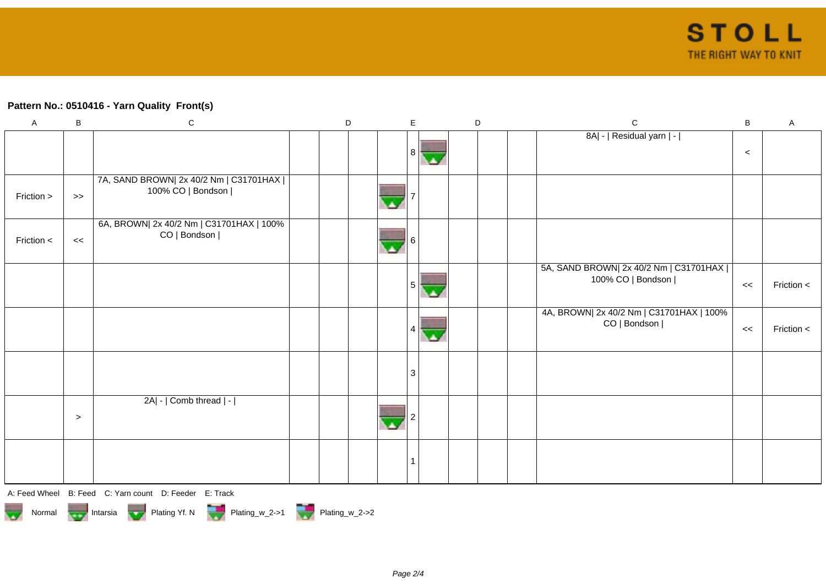## **Pattern No.: 0510416 - Yarn Quality Front(s)**

| $\boldsymbol{\mathsf{A}}$ | $\, {\bf B}$ | ${\bf C}$                                                     | D | $\mathsf E$ | D | ${\bf C}$                                                     | $\sf B$ | $\mathsf{A}$ |
|---------------------------|--------------|---------------------------------------------------------------|---|-------------|---|---------------------------------------------------------------|---------|--------------|
|                           |              |                                                               |   |             |   | 8A  -   Residual yarn   -                                     | $\prec$ |              |
| Friction >                | $\gt$        | 7A, SAND BROWN  2x 40/2 Nm   C31701HAX  <br>100% CO   Bondson |   |             |   |                                                               |         |              |
| Friction <                | <<           | 6A, BROWN  2x 40/2 Nm   C31701HAX   100%<br>CO   Bondson      |   |             |   |                                                               |         |              |
|                           |              |                                                               |   |             |   | 5A, SAND BROWN  2x 40/2 Nm   C31701HAX  <br>100% CO   Bondson | <<      | Friction <   |
|                           |              |                                                               |   |             |   | 4A, BROWN  2x 40/2 Nm   C31701HAX   100%<br>CO   Bondson      | <<      | Friction <   |
|                           |              |                                                               |   | 3           |   |                                                               |         |              |
|                           | $\geq$       | 2A  -   Comb thread   -                                       |   |             |   |                                                               |         |              |
|                           |              |                                                               |   |             |   |                                                               |         |              |

A: Feed Wheel B: Feed C: Yarn count D: Feeder E: Track

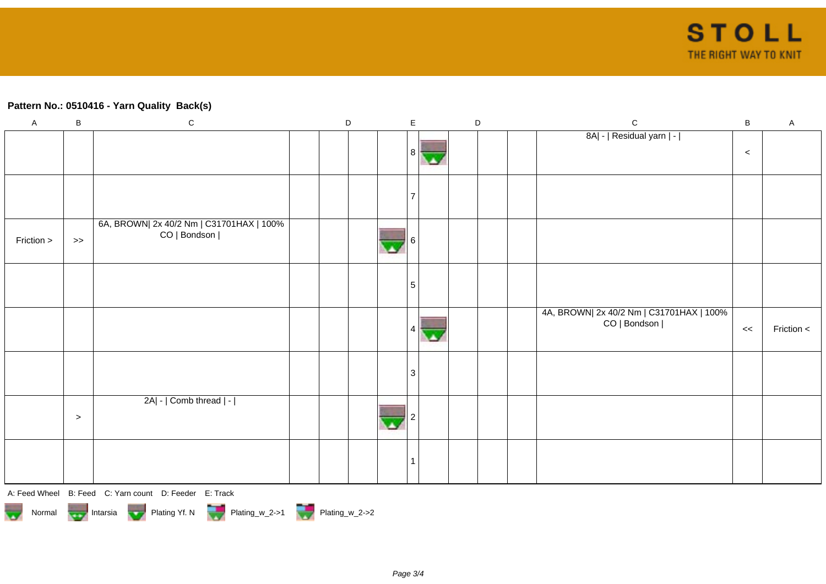## **Pattern No.: 0510416 - Yarn Quality Back(s)**

| $\mathsf A$ | $\, {\bf B}$ | ${\bf C}$                                                                                                                                                                                                                                                                                                                                                                                                               | $\mathsf D$ |  | $\mathsf E$ |            | $\mathsf D$ |  | ${\bf C}$                                |       | $\mathsf A$ |
|-------------|--------------|-------------------------------------------------------------------------------------------------------------------------------------------------------------------------------------------------------------------------------------------------------------------------------------------------------------------------------------------------------------------------------------------------------------------------|-------------|--|-------------|------------|-------------|--|------------------------------------------|-------|-------------|
|             |              |                                                                                                                                                                                                                                                                                                                                                                                                                         |             |  |             |            |             |  | 8A  -   Residual yarn   -                |       |             |
|             |              |                                                                                                                                                                                                                                                                                                                                                                                                                         |             |  |             | 8          |             |  |                                          | $\,<$ |             |
|             |              |                                                                                                                                                                                                                                                                                                                                                                                                                         |             |  |             |            |             |  |                                          |       |             |
|             |              |                                                                                                                                                                                                                                                                                                                                                                                                                         |             |  |             |            |             |  |                                          |       |             |
|             |              |                                                                                                                                                                                                                                                                                                                                                                                                                         |             |  |             |            |             |  |                                          |       |             |
|             |              | 6A, BROWN  2x 40/2 Nm   C31701HAX   100%                                                                                                                                                                                                                                                                                                                                                                                |             |  |             |            |             |  |                                          |       |             |
| Friction >  | $>>$         | CO   Bondson                                                                                                                                                                                                                                                                                                                                                                                                            |             |  |             |            |             |  |                                          |       |             |
|             |              |                                                                                                                                                                                                                                                                                                                                                                                                                         |             |  |             |            |             |  |                                          |       |             |
|             |              |                                                                                                                                                                                                                                                                                                                                                                                                                         |             |  |             |            |             |  |                                          |       |             |
|             |              |                                                                                                                                                                                                                                                                                                                                                                                                                         |             |  |             | $\sqrt{5}$ |             |  |                                          |       |             |
|             |              |                                                                                                                                                                                                                                                                                                                                                                                                                         |             |  |             |            |             |  | 4A, BROWN  2x 40/2 Nm   C31701HAX   100% |       |             |
|             |              |                                                                                                                                                                                                                                                                                                                                                                                                                         |             |  |             |            |             |  | CO   Bondson                             | <<    | Friction <  |
|             |              |                                                                                                                                                                                                                                                                                                                                                                                                                         |             |  |             |            |             |  |                                          |       |             |
|             |              |                                                                                                                                                                                                                                                                                                                                                                                                                         |             |  |             |            |             |  |                                          |       |             |
|             |              |                                                                                                                                                                                                                                                                                                                                                                                                                         |             |  |             | 3          |             |  |                                          |       |             |
|             |              | 2A  -   Comb thread   -                                                                                                                                                                                                                                                                                                                                                                                                 |             |  |             |            |             |  |                                          |       |             |
|             | $\,>$        |                                                                                                                                                                                                                                                                                                                                                                                                                         |             |  |             |            |             |  |                                          |       |             |
|             |              |                                                                                                                                                                                                                                                                                                                                                                                                                         |             |  |             |            |             |  |                                          |       |             |
|             |              |                                                                                                                                                                                                                                                                                                                                                                                                                         |             |  |             |            |             |  |                                          |       |             |
|             |              |                                                                                                                                                                                                                                                                                                                                                                                                                         |             |  |             |            |             |  |                                          |       |             |
|             |              | $\mathbf{A} = \mathbf{A} \mathbf{B} \mathbf{A} \mathbf{B} \mathbf{A} \mathbf{B} \mathbf{A} \mathbf{B} \mathbf{B} \mathbf{A} \mathbf{B} \mathbf{B} \mathbf{A} \mathbf{B} \mathbf{B} \mathbf{A} \mathbf{B} \mathbf{B} \mathbf{A} \mathbf{B} \mathbf{B} \mathbf{A} \mathbf{B} \mathbf{B} \mathbf{A} \mathbf{B} \mathbf{B} \mathbf{A} \mathbf{B} \mathbf{B} \mathbf{A} \mathbf{B} \mathbf{B} \mathbf{A} \mathbf{B} \mathbf$ |             |  |             |            |             |  |                                          |       |             |

A: Feed Wheel B: Feed C: Yarn count D: Feeder E: Track